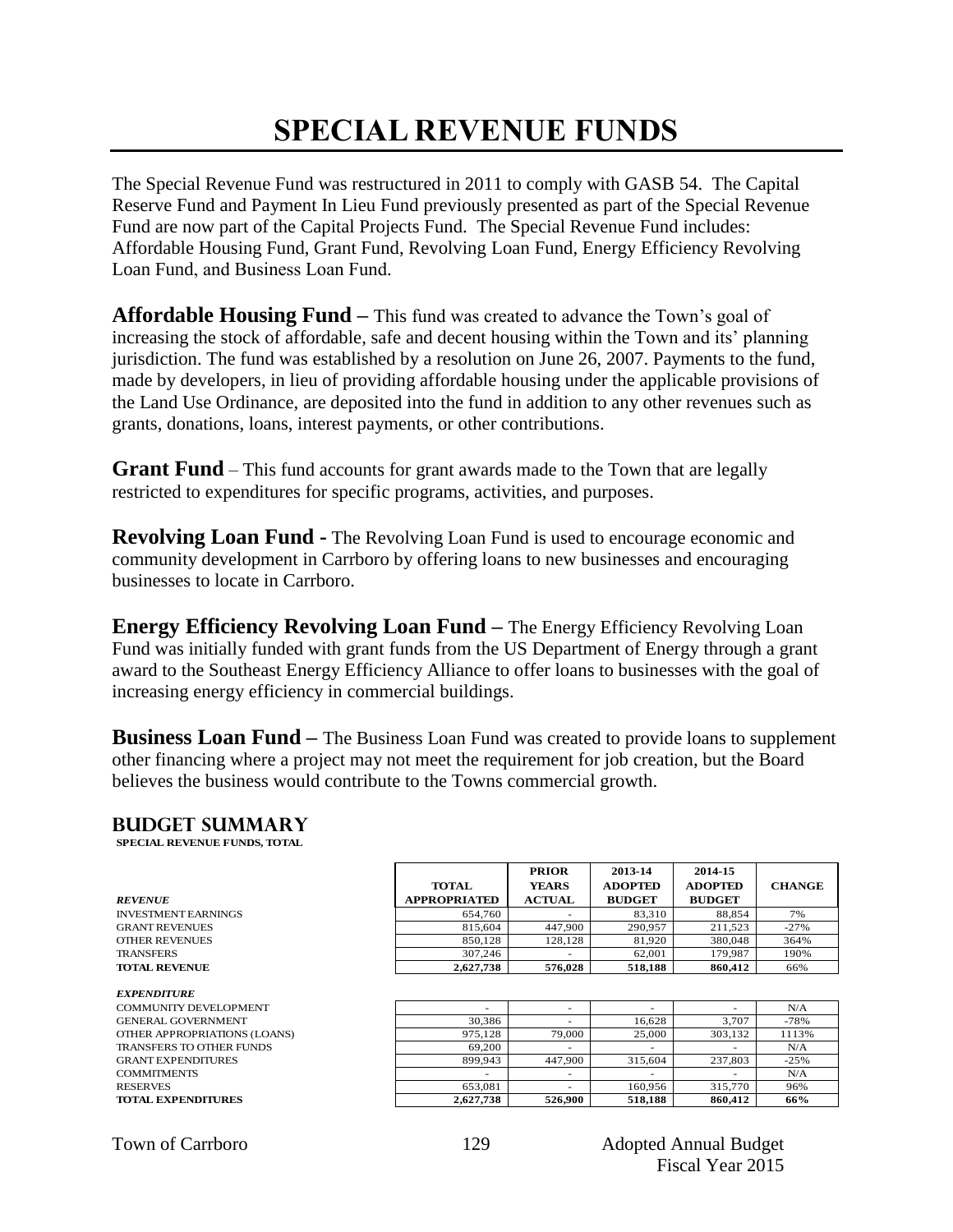### **SPECIAL REVENUE FUNDS**

The Special Revenue Fund was restructured in 2011 to comply with GASB 54. The Capital Reserve Fund and Payment In Lieu Fund previously presented as part of the Special Revenue Fund are now part of the Capital Projects Fund. The Special Revenue Fund includes: Affordable Housing Fund, Grant Fund, Revolving Loan Fund, Energy Efficiency Revolving Loan Fund, and Business Loan Fund.

**Affordable Housing Fund –** This fund was created to advance the Town's goal of increasing the stock of affordable, safe and decent housing within the Town and its' planning jurisdiction. The fund was established by a resolution on June 26, 2007. Payments to the fund, made by developers, in lieu of providing affordable housing under the applicable provisions of the Land Use Ordinance, are deposited into the fund in addition to any other revenues such as grants, donations, loans, interest payments, or other contributions.

**Grant Fund** – This fund accounts for grant awards made to the Town that are legally restricted to expenditures for specific programs, activities, and purposes.

**Revolving Loan Fund -** The Revolving Loan Fund is used to encourage economic and community development in Carrboro by offering loans to new businesses and encouraging businesses to locate in Carrboro.

**Energy Efficiency Revolving Loan Fund –** The Energy Efficiency Revolving Loan Fund was initially funded with grant funds from the US Department of Energy through a grant award to the Southeast Energy Efficiency Alliance to offer loans to businesses with the goal of increasing energy efficiency in commercial buildings.

**Business Loan Fund –** The Business Loan Fund was created to provide loans to supplement other financing where a project may not meet the requirement for job creation, but the Board believes the business would contribute to the Towns commercial growth.

#### **Budget summary**

| <b>BUDGET SUMMARY</b><br><b>SPECIAL REVENUE FUNDS, TOTAL</b> |                                     |                                               |                                            |                                            |               |
|--------------------------------------------------------------|-------------------------------------|-----------------------------------------------|--------------------------------------------|--------------------------------------------|---------------|
| <b>REVENUE</b>                                               | <b>TOTAL</b><br><b>APPROPRIATED</b> | <b>PRIOR</b><br><b>YEARS</b><br><b>ACTUAL</b> | 2013-14<br><b>ADOPTED</b><br><b>BUDGET</b> | 2014-15<br><b>ADOPTED</b><br><b>BUDGET</b> | <b>CHANGE</b> |
| <b>INVESTMENT EARNINGS</b>                                   | 654,760                             |                                               | 83,310                                     | 88,854                                     | 7%            |
| <b>GRANT REVENUES</b>                                        | 815,604                             | 447.900                                       | 290.957                                    | 211,523                                    | $-27%$        |
| <b>OTHER REVENUES</b>                                        | 850.128                             | 128,128                                       | 81,920                                     | 380,048                                    | 364%          |
| <b>TRANSFERS</b>                                             | 307,246                             |                                               | 62,001                                     | 179,987                                    | 190%          |
| <b>TOTAL REVENUE</b>                                         | 2,627,738                           | 576,028                                       | 518,188                                    | 860,412                                    | 66%           |

| COMMUNITY DEVELOPMENT        |           |         |         |                          | N/A    |  |
|------------------------------|-----------|---------|---------|--------------------------|--------|--|
| <b>GENERAL GOVERNMENT</b>    | 30.386    |         | 16.628  | 3.707                    | $-78%$ |  |
| OTHER APPROPRIATIONS (LOANS) | 975.128   | 79,000  | 25,000  | 303.132                  | 1113%  |  |
| TRANSFERS TO OTHER FUNDS     | 69,200    |         |         | $\overline{\phantom{a}}$ | N/A    |  |
| <b>GRANT EXPENDITURES</b>    | 899.943   | 447,900 | 315.604 | 237,803                  | $-25%$ |  |
| <b>COMMITMENTS</b>           |           |         |         |                          | N/A    |  |
| <b>RESERVES</b>              | 653.081   |         | 160.956 | 315,770                  | 96%    |  |
| <b>TOTAL EXPENDITURES</b>    | 2,627,738 | 526.900 | 518.188 | 860.412                  | 66%    |  |

|  | <b>Town of Carrboro</b> |
|--|-------------------------|
|  |                         |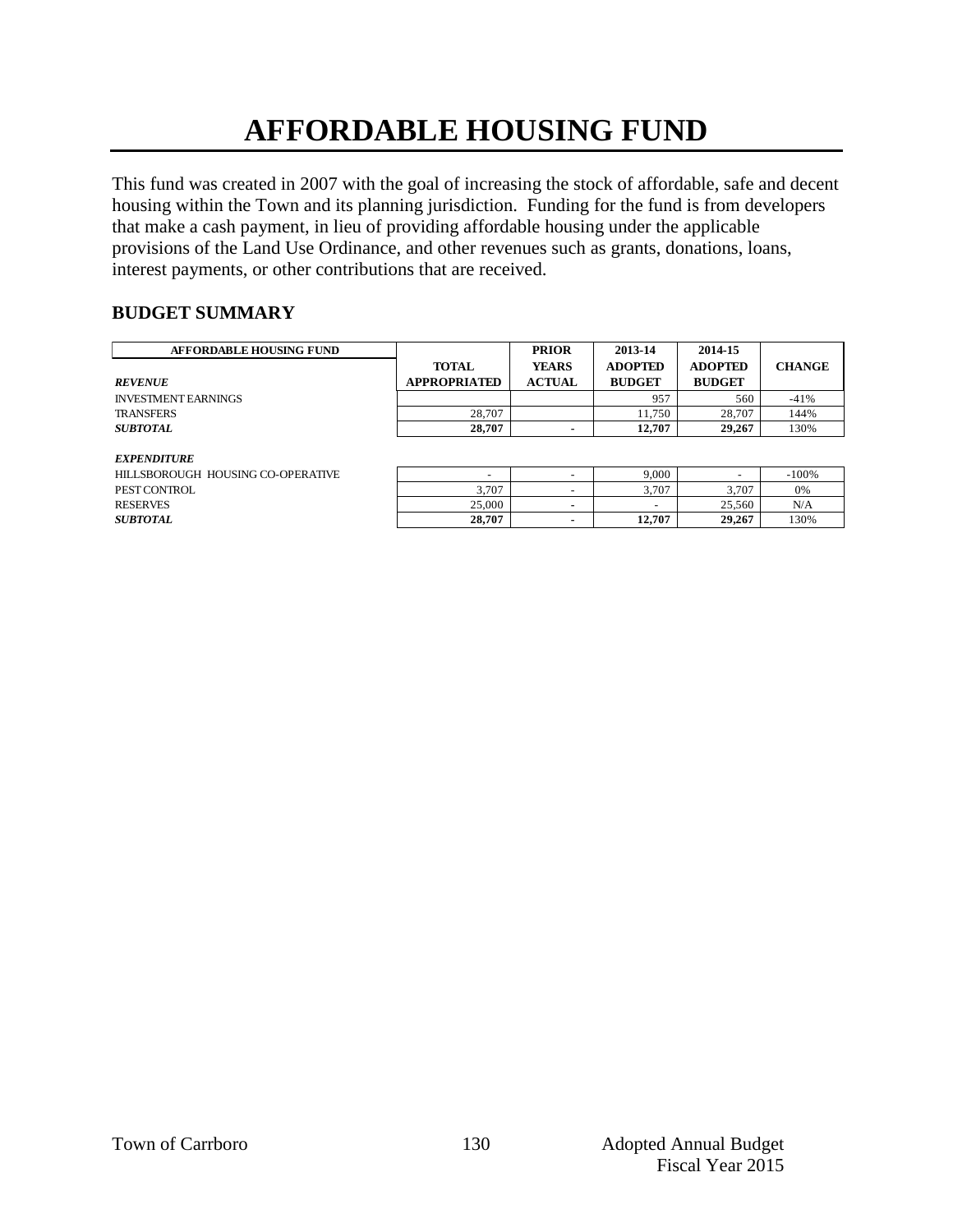# **AFFORDABLE HOUSING FUND**

This fund was created in 2007 with the goal of increasing the stock of affordable, safe and decent housing within the Town and its planning jurisdiction. Funding for the fund is from developers that make a cash payment, in lieu of providing affordable housing under the applicable provisions of the Land Use Ordinance, and other revenues such as grants, donations, loans, interest payments, or other contributions that are received.

#### **BUDGET SUMMARY**

| <b>AFFORDABLE HOUSING FUND</b>    |                          | <b>PRIOR</b>  | 2013-14        | 2014-15                  |               |
|-----------------------------------|--------------------------|---------------|----------------|--------------------------|---------------|
|                                   | <b>TOTAL</b>             | <b>YEARS</b>  | <b>ADOPTED</b> | <b>ADOPTED</b>           | <b>CHANGE</b> |
| <b>REVENUE</b>                    | <b>APPROPRIATED</b>      | <b>ACTUAL</b> | <b>BUDGET</b>  | <b>BUDGET</b>            |               |
| <b>INVESTMENT EARNINGS</b>        |                          |               | 957            | 560                      | $-41%$        |
| <b>TRANSFERS</b>                  | 28,707                   |               | 11.750         | 28,707                   | 144%          |
| <b>SUBTOTAL</b>                   | 28,707                   |               | 12.707         | 29,267                   | 130%          |
|                                   |                          |               |                |                          |               |
| <i><b>EXPENDITURE</b></i>         |                          |               |                |                          |               |
| HILLSBOROUGH HOUSING CO-OPERATIVE | $\overline{\phantom{0}}$ |               | 9.000          | $\overline{\phantom{0}}$ | $-100%$       |
| PEST CONTROL                      | 3.707                    |               | 3.707          | 3.707                    | 0%            |
| <b>RESERVES</b>                   | 25,000                   |               | -              | 25,560                   | N/A           |

*EXPENDITURE* HILLSBOROUGH HOUSING CO-OPERATIVE PEST CONTROL

| -------------------                |                          |   |        |        |         |
|------------------------------------|--------------------------|---|--------|--------|---------|
| HILLSBOROUGH  HOUSING CO-OPERATIVE | $\overline{\phantom{a}}$ | - | 9.000  | -      | $-100%$ |
| PEST CONTROL                       | 3.707                    | - | 3.707  | 3.707  | 0%      |
| RESERVES                           | 25,000                   |   | -      | 25.560 | N/A     |
| <i>SUBTOTAL</i>                    | 28,707                   |   | 12.707 | 29,267 | 130%    |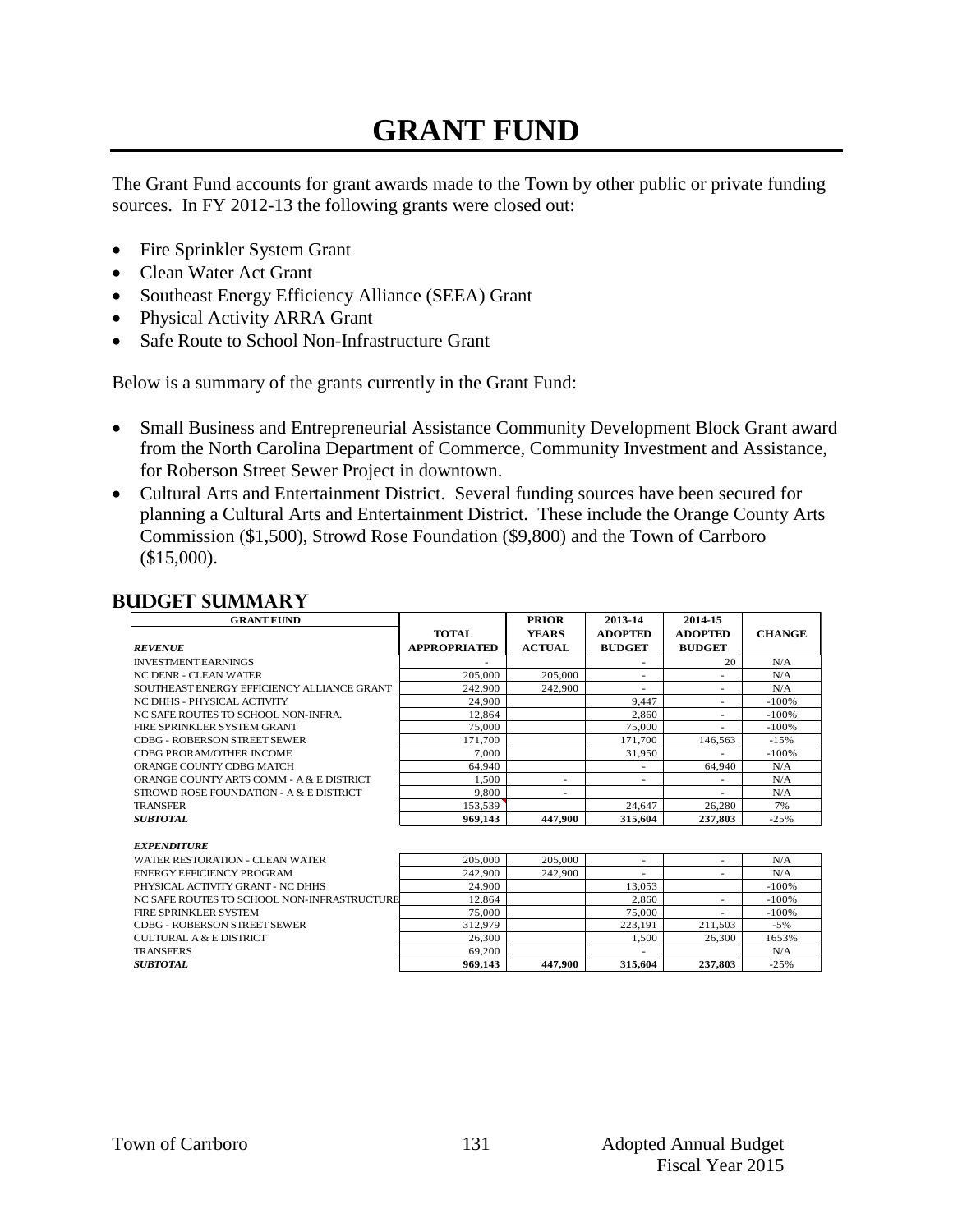### **GRANT FUND**

The Grant Fund accounts for grant awards made to the Town by other public or private funding sources. In FY 2012-13 the following grants were closed out:

- Fire Sprinkler System Grant
- Clean Water Act Grant
- Southeast Energy Efficiency Alliance (SEEA) Grant
- Physical Activity ARRA Grant
- Safe Route to School Non-Infrastructure Grant

Below is a summary of the grants currently in the Grant Fund:

- Small Business and Entrepreneurial Assistance Community Development Block Grant award from the North Carolina Department of Commerce, Community Investment and Assistance, for Roberson Street Sewer Project in downtown.
- Cultural Arts and Entertainment District. Several funding sources have been secured for planning a Cultural Arts and Entertainment District. These include the Orange County Arts Commission (\$1,500), Strowd Rose Foundation (\$9,800) and the Town of Carrboro (\$15,000).

#### **Budget summary**

| <b>GRANT FUND</b>                                                    |                     | <b>PRIOR</b>  | 2013-14        | 2014-15                  |                    |
|----------------------------------------------------------------------|---------------------|---------------|----------------|--------------------------|--------------------|
|                                                                      | <b>TOTAL</b>        | <b>YEARS</b>  | <b>ADOPTED</b> | <b>ADOPTED</b>           | <b>CHANGE</b>      |
| <b>REVENUE</b>                                                       | <b>APPROPRIATED</b> | <b>ACTUAL</b> | <b>BUDGET</b>  | <b>BUDGET</b>            |                    |
| <b>INVESTMENT EARNINGS</b>                                           |                     |               | ۰              | 20                       | N/A                |
| <b>NC DENR - CLEAN WATER</b>                                         | 205,000             | 205,000       | ٠              | $\overline{\phantom{a}}$ | N/A                |
| SOUTHEAST ENERGY EFFICIENCY ALLIANCE GRANT                           | 242.900             | 242,900       |                | ٠                        | N/A                |
| NC DHHS - PHYSICAL ACTIVITY                                          | 24,900              |               | 9.447          | ٠                        | $-100%$            |
| NC SAFE ROUTES TO SCHOOL NON-INFRA.                                  | 12.864              |               | 2.860          | ٠                        | $-100%$            |
| FIRE SPRINKLER SYSTEM GRANT                                          | 75,000              |               | 75,000         |                          | $-100%$            |
| <b>CDBG - ROBERSON STREET SEWER</b>                                  | 171.700             |               | 171.700        | 146.563                  | $-1.5%$            |
| <b>CDBG PRORAM/OTHER INCOME</b>                                      | 7.000               |               | 31.950         |                          | $-100%$            |
| ORANGE COUNTY CDBG MATCH                                             | 64.940              |               |                | 64,940                   | N/A                |
| ORANGE COUNTY ARTS COMM - A & E DISTRICT                             | 1.500               | ٠             |                |                          | N/A                |
| STROWD ROSE FOUNDATION - A & E DISTRICT                              | 9.800               | ٠             |                |                          | N/A                |
| <b>TRANSFER</b>                                                      | 153.539             |               | 24.647         | 26.280                   | 7%                 |
| <b>SUBTOTAL</b>                                                      | 969,143             | 447.900       | 315,604        | 237,803                  | $-25%$             |
|                                                                      |                     |               |                |                          |                    |
| <b>EXPENDITURE</b><br><b>WATER RESTORATION - CLEAN WATER</b>         |                     | 205.000       |                |                          | N/A                |
| <b>ENERGY EFFICIENCY PROGRAM</b>                                     | 205,000<br>242.900  | 242,900       | ٠              | ٠                        | N/A                |
| PHYSICAL ACTIVITY GRANT - NC DHHS                                    | 24,900              |               | 13.053         | ٠                        | $-100%$            |
|                                                                      |                     |               | 2.860          |                          |                    |
| NC SAFE ROUTES TO SCHOOL NON-INFRASTRUCTURE<br>FIRE SPRINKLER SYSTEM | 12.864<br>75.000    |               | 75.000         | ٠                        | $-100%$<br>$-100%$ |
|                                                                      |                     |               |                |                          |                    |
| <b>CDBG - ROBERSON STREET SEWER</b>                                  | 312.979             |               | 223.191        | 211.503                  | $-5%$              |
| CULTURAL A & E DISTRICT                                              | 26,300              |               | 1.500          | 26,300                   | 1653%              |
| <b>TRANSFERS</b>                                                     | 69,200              |               |                |                          | N/A                |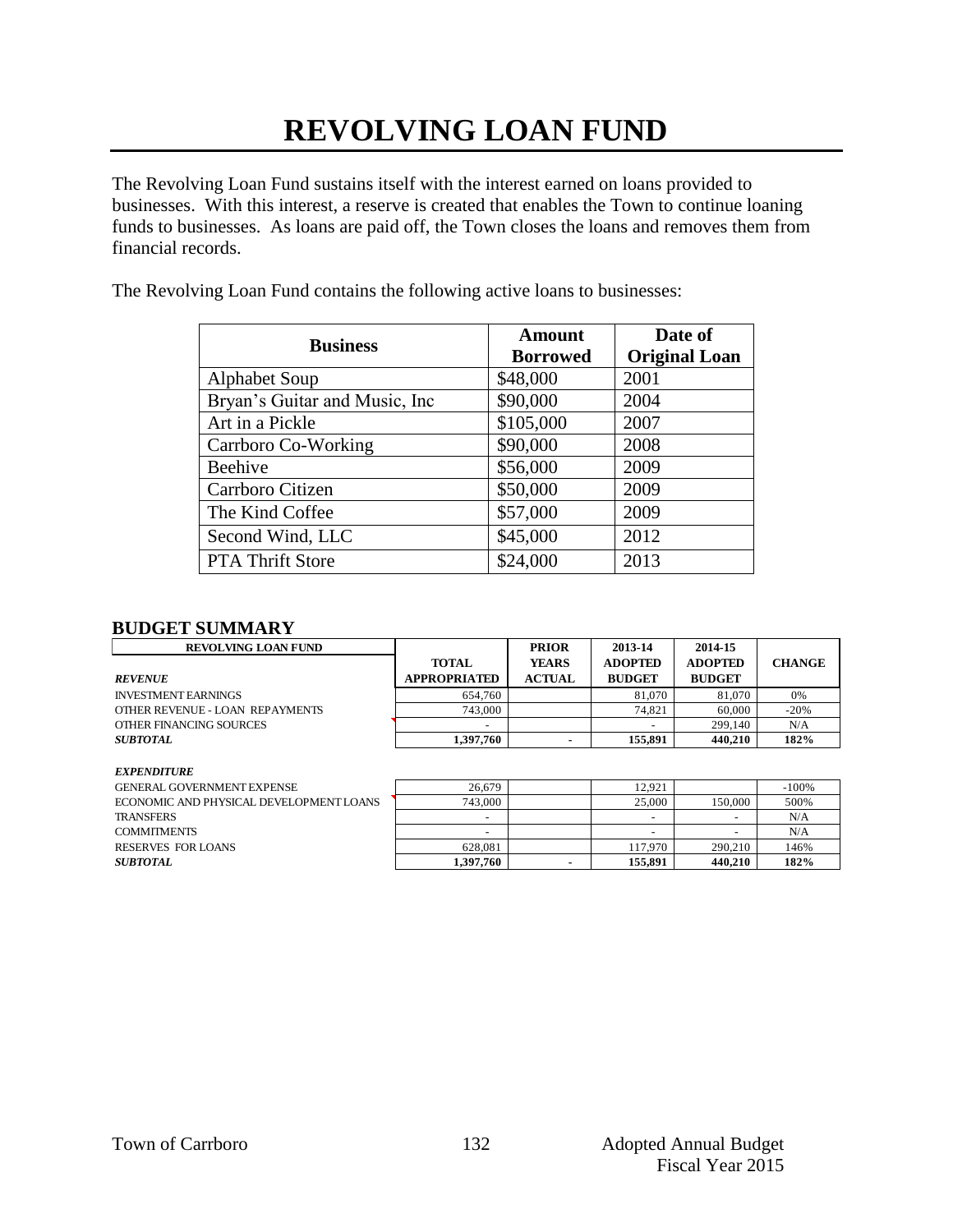# **REVOLVING LOAN FUND**

The Revolving Loan Fund sustains itself with the interest earned on loans provided to businesses. With this interest, a reserve is created that enables the Town to continue loaning funds to businesses. As loans are paid off, the Town closes the loans and removes them from financial records.

The Revolving Loan Fund contains the following active loans to businesses:

| <b>Business</b>                | <b>Amount</b><br><b>Borrowed</b> | Date of<br><b>Original Loan</b> |
|--------------------------------|----------------------------------|---------------------------------|
| <b>Alphabet Soup</b>           | \$48,000                         | 2001                            |
| Bryan's Guitar and Music, Inc. | \$90,000                         | 2004                            |
| Art in a Pickle                | \$105,000                        | 2007                            |
| Carrboro Co-Working            | \$90,000                         | 2008                            |
| Beehive                        | \$56,000                         | 2009                            |
| Carrboro Citizen               | \$50,000                         | 2009                            |
| The Kind Coffee                | \$57,000                         | 2009                            |
| Second Wind, LLC               | \$45,000                         | 2012                            |
| <b>PTA Thrift Store</b>        | \$24,000                         | 2013                            |

#### **BUDGET SUMMARY**

| <b>REVOLVING LOAN FUND</b>      |                          | <b>PRIOR</b>  | 2013-14        | 2014-15        |               |
|---------------------------------|--------------------------|---------------|----------------|----------------|---------------|
|                                 | <b>TOTAL</b>             | <b>YEARS</b>  | <b>ADOPTED</b> | <b>ADOPTED</b> | <b>CHANGE</b> |
| <b>REVENUE</b>                  | <b>APPROPRIATED</b>      | <b>ACTUAL</b> | <b>BUDGET</b>  | <b>BUDGET</b>  |               |
| <b>INVESTMENT EARNINGS</b>      | 654,760                  |               | 81,070         | 81.070         | 0%            |
| OTHER REVENUE - LOAN REPAYMENTS | 743,000                  |               | 74,821         | 60,000         | $-20%$        |
| OTHER FINANCING SOURCES         | $\overline{\phantom{0}}$ |               |                | 299,140        | N/A           |
| <b>SUBTOTAL</b>                 | 1,397,760                |               | 155,891        | 440.210        | 182%          |

#### *EXPENDITURE*

| GENER AL GOVERNMENT EXPENSE             | 26.679    | 12.921  |         | $-100%$ |
|-----------------------------------------|-----------|---------|---------|---------|
| ECONOMIC AND PHYSICAL DEVELOPMENT LOANS | 743,000   | 25,000  | 150.000 | 500%    |
| TRANSFERS                               |           |         | -       | N/A     |
| COMMITMENTS                             | -         |         |         | N/A     |
| RESERVES FOR LOANS                      | 628.081   | 117.970 | 290,210 | 146%    |
| <i>SUBTOTAL</i>                         | 1.397.760 | 155.891 | 440.210 | 182%    |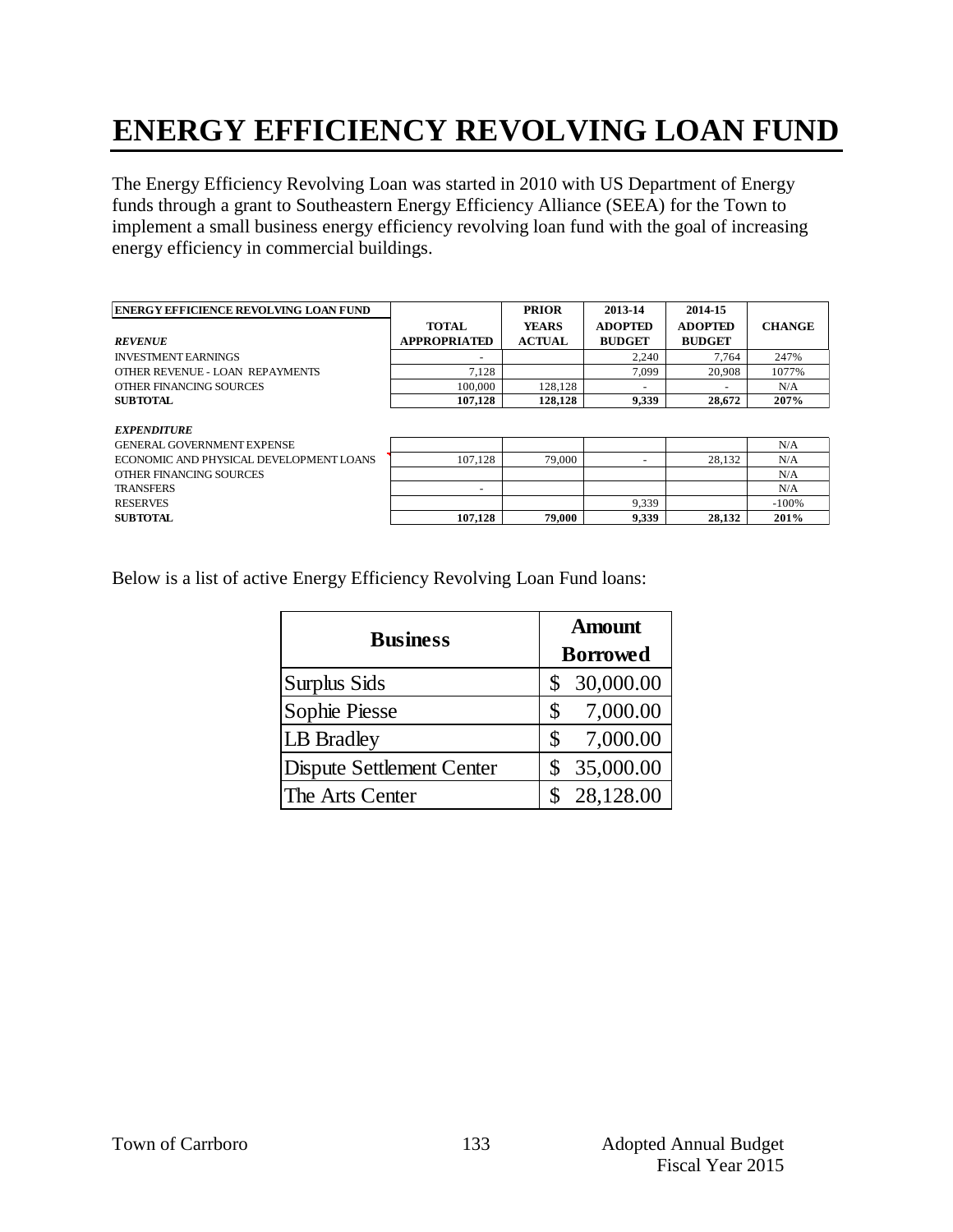### **ENERGY EFFICIENCY REVOLVING LOAN FUND**

The Energy Efficiency Revolving Loan was started in 2010 with US Department of Energy funds through a grant to Southeastern Energy Efficiency Alliance (SEEA) for the Town to implement a small business energy efficiency revolving loan fund with the goal of increasing energy efficiency in commercial buildings.

| <b>ENERGY EFFICIENCE REVOLVING LOAN FUND</b> |                          | <b>PRIOR</b>  | 2013-14        | 2014-15                  |               |
|----------------------------------------------|--------------------------|---------------|----------------|--------------------------|---------------|
|                                              | <b>TOTAL</b>             | <b>YEARS</b>  | <b>ADOPTED</b> | <b>ADOPTED</b>           | <b>CHANGE</b> |
| <b>REVENUE</b>                               | <b>APPROPRIATED</b>      | <b>ACTUAL</b> | <b>BUDGET</b>  | <b>BUDGET</b>            |               |
| <b>INVESTMENT EARNINGS</b>                   | $\overline{\phantom{a}}$ |               | 2.240          | 7.764                    | 247%          |
| OTHER REVENUE - LOAN REPAYMENTS              | 7.128                    |               | 7.099          | 20,908                   | 1077%         |
| OTHER FINANCING SOURCES                      | 100,000                  | 128.128       | $\sim$         | $\overline{\phantom{0}}$ | N/A           |
| <b>SUBTOTAL</b>                              | 107.128                  | 128.128       | 9.339          | 28,672                   | 207%          |

*EXPENDITURE* GENERAL GOVERNMENT EXPENSE ECONOMIC AND PHYSICAL DEVELOPMENT LOANS OTHER FINANCING SOURCES

| EXPENDITURE                             |         |        |       |        |         |
|-----------------------------------------|---------|--------|-------|--------|---------|
| GENERAL GOVERNMENT EXPENSE              |         |        |       |        | N/A     |
| ECONOMIC AND PHYSICAL DEVELOPMENT LOANS | 107.128 | 79,000 |       | 28.132 | N/A     |
| OTHER FINANCING SOURCES                 |         |        |       |        | N/A     |
| <b>TRANSFERS</b>                        | -       |        |       |        | N/A     |
| <b>RESERVES</b>                         |         |        | 9.339 |        | $-100%$ |
| SUBTOTAL.                               | 107.128 | 79,000 | 9.339 | 28.132 | 201%    |

Below is a list of active Energy Efficiency Revolving Loan Fund loans:

| <b>Business</b>           | <b>Amount</b>   |
|---------------------------|-----------------|
|                           | <b>Borrowed</b> |
| Surplus Sids              | 30,000.00<br>\$ |
| Sophie Piesse             | 7,000.00<br>\$  |
| LB Bradley                | 7,000.00<br>\$  |
| Dispute Settlement Center | 35,000.00       |
| The Arts Center           | 28,128.00       |